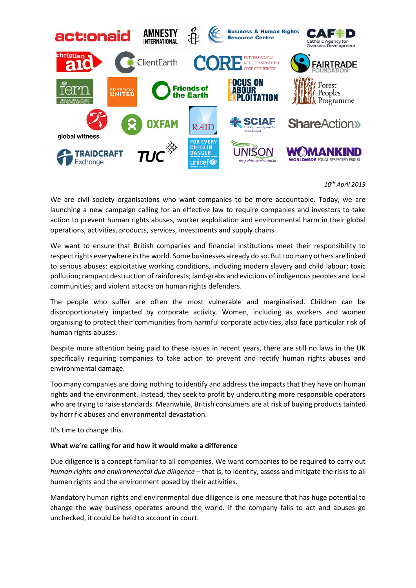

## *10th April 2019*

We are civil society organisations who want companies to be more accountable. Today, we are launching a new campaign calling for an effective law to require companies and investors to take action to prevent human rights abuses, worker exploitation and environmental harm in their global operations, activities, products, services, investments and supply chains.

We want to ensure that British companies and financial institutions meet their responsibility to respect rights everywhere in the world. Some businesses already do so. But too many others are linked to serious abuses: exploitative working conditions, including modern slavery and child labour; toxic pollution; rampant destruction of rainforests; land-grabs and evictions of indigenous peoples and local communities; and violent attacks on human rights defenders.

The people who suffer are often the most vulnerable and marginalised. Children can be disproportionately impacted by corporate activity. Women, including as workers and women organising to protect their communities from harmful corporate activities, also face particular risk of human rights abuses.

Despite more attention being paid to these issues in recent years, there are still no laws in the UK specifically requiring companies to take action to prevent and rectify human rights abuses and environmental damage.

Too many companies are doing nothing to identify and address the impacts that they have on human rights and the environment. Instead, they seek to profit by undercutting more responsible operators who are trying to raise standards. Meanwhile, British consumers are at risk of buying products tainted by horrific abuses and environmental devastation.

It's time to change this.

## **What we're calling for and how it would make a difference**

Due diligence is a concept familiar to all companies. We want companies to be required to carry out *human rights and environmental due diligence* – that is, to identify, assess and mitigate the risks to all human rights and the environment posed by their activities.

Mandatory human rights and environmental due diligence is one measure that has huge potential to change the way business operates around the world. If the company fails to act and abuses go unchecked, it could be held to account in court.